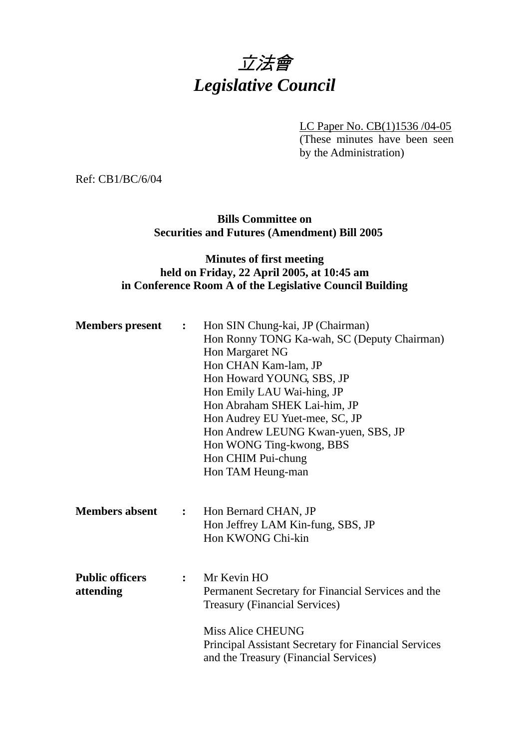

LC Paper No. CB(1)1536 /04-05

(These minutes have been seen by the Administration)

Ref: CB1/BC/6/04

**Bills Committee on Securities and Futures (Amendment) Bill 2005** 

# **Minutes of first meeting held on Friday, 22 April 2005, at 10:45 am in Conference Room A of the Legislative Council Building**

| <b>Members</b> present<br>$\ddot{\cdot}$ |                | Hon SIN Chung-kai, JP (Chairman)                            |  |
|------------------------------------------|----------------|-------------------------------------------------------------|--|
|                                          |                | Hon Ronny TONG Ka-wah, SC (Deputy Chairman)                 |  |
|                                          |                | Hon Margaret NG                                             |  |
|                                          |                | Hon CHAN Kam-lam, JP                                        |  |
|                                          |                | Hon Howard YOUNG, SBS, JP                                   |  |
|                                          |                | Hon Emily LAU Wai-hing, JP                                  |  |
|                                          |                | Hon Abraham SHEK Lai-him, JP                                |  |
|                                          |                | Hon Audrey EU Yuet-mee, SC, JP                              |  |
|                                          |                | Hon Andrew LEUNG Kwan-yuen, SBS, JP                         |  |
|                                          |                | Hon WONG Ting-kwong, BBS                                    |  |
|                                          |                | Hon CHIM Pui-chung                                          |  |
|                                          |                | Hon TAM Heung-man                                           |  |
|                                          |                |                                                             |  |
|                                          |                |                                                             |  |
| <b>Members absent</b>                    | $\ddot{\cdot}$ | Hon Bernard CHAN, JP                                        |  |
|                                          |                | Hon Jeffrey LAM Kin-fung, SBS, JP                           |  |
|                                          |                | Hon KWONG Chi-kin                                           |  |
|                                          |                |                                                             |  |
|                                          |                |                                                             |  |
| <b>Public officers</b>                   | $\ddot{\cdot}$ | Mr Kevin HO                                                 |  |
| attending                                |                | Permanent Secretary for Financial Services and the          |  |
|                                          |                | <b>Treasury (Financial Services)</b>                        |  |
|                                          |                | <b>Miss Alice CHEUNG</b>                                    |  |
|                                          |                |                                                             |  |
|                                          |                | <b>Principal Assistant Secretary for Financial Services</b> |  |
|                                          |                | and the Treasury (Financial Services)                       |  |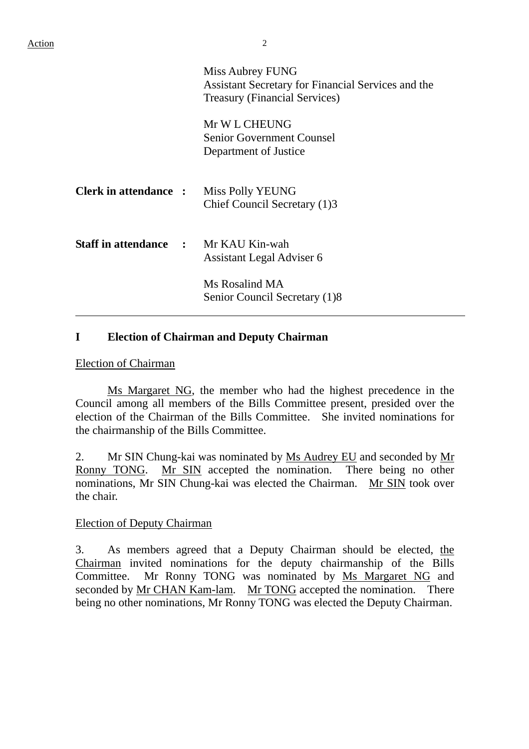|                                             | Miss Aubrey FUNG<br>Assistant Secretary for Financial Services and the<br><b>Treasury (Financial Services)</b> |  |
|---------------------------------------------|----------------------------------------------------------------------------------------------------------------|--|
|                                             | Mr W L CHEUNG<br><b>Senior Government Counsel</b><br>Department of Justice                                     |  |
| <b>Clerk in attendance :</b>                | Miss Polly YEUNG<br>Chief Council Secretary (1)3                                                               |  |
| <b>Staff in attendance : Mr KAU Kin-wah</b> | Assistant Legal Adviser 6                                                                                      |  |
|                                             | Ms Rosalind MA<br>Senior Council Secretary (1)8                                                                |  |

# **I Election of Chairman and Deputy Chairman**

#### Election of Chairman

Ms Margaret NG, the member who had the highest precedence in the Council among all members of the Bills Committee present, presided over the election of the Chairman of the Bills Committee. She invited nominations for the chairmanship of the Bills Committee.

2. Mr SIN Chung-kai was nominated by Ms Audrey EU and seconded by Mr Ronny TONG. Mr SIN accepted the nomination. There being no other nominations, Mr SIN Chung-kai was elected the Chairman. Mr SIN took over the chair.

#### Election of Deputy Chairman

3. As members agreed that a Deputy Chairman should be elected, the Chairman invited nominations for the deputy chairmanship of the Bills Committee. Mr Ronny TONG was nominated by Ms Margaret NG and seconded by Mr CHAN Kam-lam. Mr TONG accepted the nomination. There being no other nominations, Mr Ronny TONG was elected the Deputy Chairman.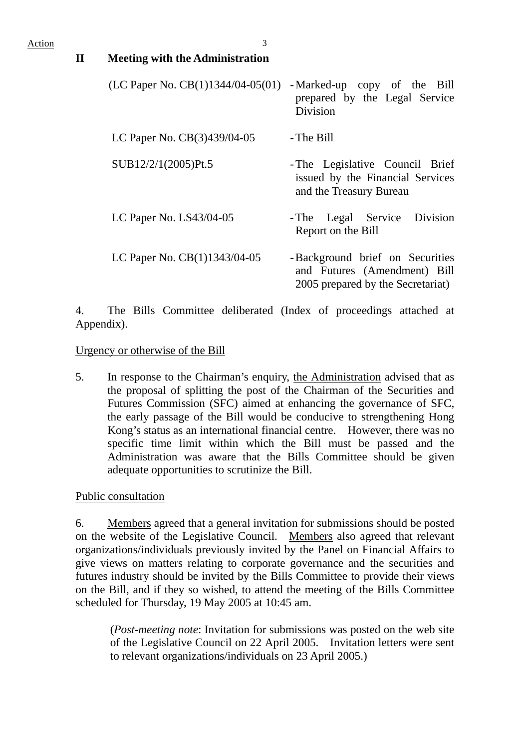| $\mathbf{I}$ | <b>Meeting with the Administration</b> |                                                                                                      |
|--------------|----------------------------------------|------------------------------------------------------------------------------------------------------|
|              | (LC Paper No. $CB(1)1344/04-05(01)$    | -Marked-up copy of the Bill<br>prepared by the Legal Service<br>Division                             |
|              | LC Paper No. CB(3)439/04-05            | - The Bill                                                                                           |
|              | SUB12/2/1(2005)Pt.5                    | - The Legislative Council Brief<br>issued by the Financial Services<br>and the Treasury Bureau       |
|              | LC Paper No. LS43/04-05                | Legal Service Division<br>- The<br>Report on the Bill                                                |
|              | LC Paper No. CB(1)1343/04-05           | -Background brief on Securities<br>and Futures (Amendment) Bill<br>2005 prepared by the Secretariat) |

4. The Bills Committee deliberated (Index of proceedings attached at Appendix).

### Urgency or otherwise of the Bill

5. In response to the Chairman's enquiry, the Administration advised that as the proposal of splitting the post of the Chairman of the Securities and Futures Commission (SFC) aimed at enhancing the governance of SFC, the early passage of the Bill would be conducive to strengthening Hong Kong's status as an international financial centre. However, there was no specific time limit within which the Bill must be passed and the Administration was aware that the Bills Committee should be given adequate opportunities to scrutinize the Bill.

Public consultation

6. Members agreed that a general invitation for submissions should be posted on the website of the Legislative Council. Members also agreed that relevant organizations/individuals previously invited by the Panel on Financial Affairs to give views on matters relating to corporate governance and the securities and futures industry should be invited by the Bills Committee to provide their views on the Bill, and if they so wished, to attend the meeting of the Bills Committee scheduled for Thursday, 19 May 2005 at 10:45 am.

(*Post-meeting note*: Invitation for submissions was posted on the web site of the Legislative Council on 22 April 2005. Invitation letters were sent to relevant organizations/individuals on 23 April 2005.)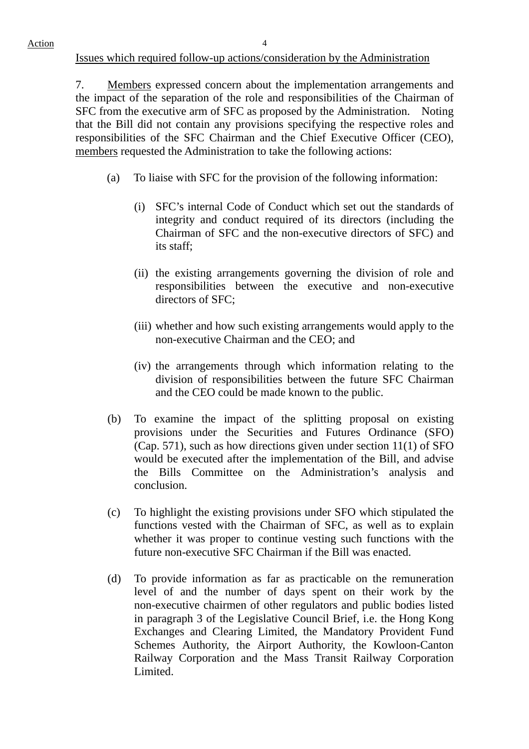#### Issues which required follow-up actions/consideration by the Administration

7. Members expressed concern about the implementation arrangements and the impact of the separation of the role and responsibilities of the Chairman of SFC from the executive arm of SFC as proposed by the Administration. Noting that the Bill did not contain any provisions specifying the respective roles and responsibilities of the SFC Chairman and the Chief Executive Officer (CEO), members requested the Administration to take the following actions:

- (a) To liaise with SFC for the provision of the following information:
	- (i) SFC's internal Code of Conduct which set out the standards of integrity and conduct required of its directors (including the Chairman of SFC and the non-executive directors of SFC) and its staff;
	- (ii) the existing arrangements governing the division of role and responsibilities between the executive and non-executive directors of SFC;
	- (iii) whether and how such existing arrangements would apply to the non-executive Chairman and the CEO; and
	- (iv) the arrangements through which information relating to the division of responsibilities between the future SFC Chairman and the CEO could be made known to the public.
- (b) To examine the impact of the splitting proposal on existing provisions under the Securities and Futures Ordinance (SFO) (Cap. 571), such as how directions given under section 11(1) of SFO would be executed after the implementation of the Bill, and advise the Bills Committee on the Administration's analysis and conclusion.
- (c) To highlight the existing provisions under SFO which stipulated the functions vested with the Chairman of SFC, as well as to explain whether it was proper to continue vesting such functions with the future non-executive SFC Chairman if the Bill was enacted.
- (d) To provide information as far as practicable on the remuneration level of and the number of days spent on their work by the non-executive chairmen of other regulators and public bodies listed in paragraph 3 of the Legislative Council Brief, i.e. the Hong Kong Exchanges and Clearing Limited, the Mandatory Provident Fund Schemes Authority, the Airport Authority, the Kowloon-Canton Railway Corporation and the Mass Transit Railway Corporation Limited.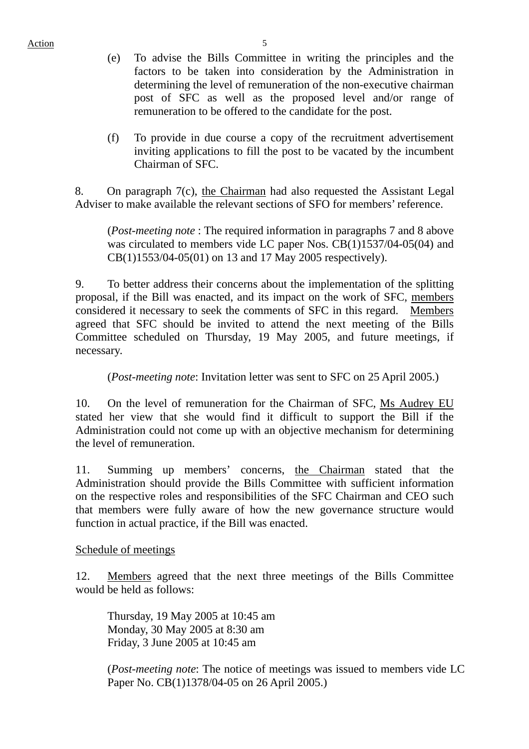Action 5

- (e) To advise the Bills Committee in writing the principles and the factors to be taken into consideration by the Administration in determining the level of remuneration of the non-executive chairman post of SFC as well as the proposed level and/or range of remuneration to be offered to the candidate for the post.
- (f) To provide in due course a copy of the recruitment advertisement inviting applications to fill the post to be vacated by the incumbent Chairman of SFC.

8. On paragraph 7(c), the Chairman had also requested the Assistant Legal Adviser to make available the relevant sections of SFO for members' reference.

 (*Post-meeting note* : The required information in paragraphs 7 and 8 above was circulated to members vide LC paper Nos. CB(1)1537/04-05(04) and CB(1)1553/04-05(01) on 13 and 17 May 2005 respectively).

9. To better address their concerns about the implementation of the splitting proposal, if the Bill was enacted, and its impact on the work of SFC, members considered it necessary to seek the comments of SFC in this regard. Members agreed that SFC should be invited to attend the next meeting of the Bills Committee scheduled on Thursday, 19 May 2005, and future meetings, if necessary.

(*Post-meeting note*: Invitation letter was sent to SFC on 25 April 2005.)

10. On the level of remuneration for the Chairman of SFC, Ms Audrey EU stated her view that she would find it difficult to support the Bill if the Administration could not come up with an objective mechanism for determining the level of remuneration.

11. Summing up members' concerns, the Chairman stated that the Administration should provide the Bills Committee with sufficient information on the respective roles and responsibilities of the SFC Chairman and CEO such that members were fully aware of how the new governance structure would function in actual practice, if the Bill was enacted.

Schedule of meetings

12. Members agreed that the next three meetings of the Bills Committee would be held as follows:

Thursday, 19 May 2005 at 10:45 am Monday, 30 May 2005 at 8:30 am Friday, 3 June 2005 at 10:45 am

(*Post-meeting note*: The notice of meetings was issued to members vide LC Paper No. CB(1)1378/04-05 on 26 April 2005.)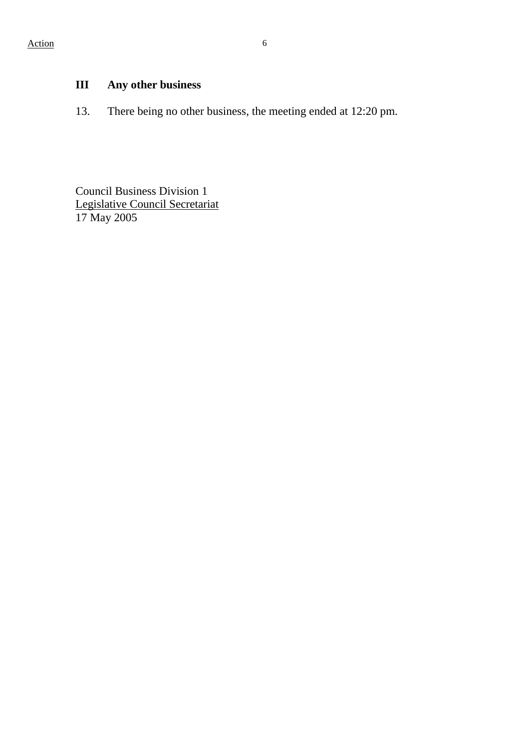# **III Any other business**

13. There being no other business, the meeting ended at 12:20 pm.

Council Business Division 1 Legislative Council Secretariat 17 May 2005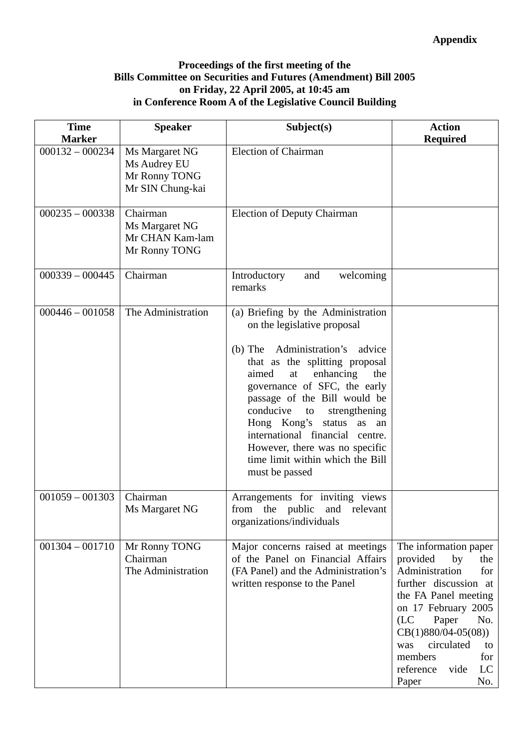## **Proceedings of the first meeting of the Bills Committee on Securities and Futures (Amendment) Bill 2005 on Friday, 22 April 2005, at 10:45 am in Conference Room A of the Legislative Council Building**

| <b>Time</b><br><b>Marker</b> | <b>Speaker</b>                                                      | Subject(s)                                                                                                                                                                                                                                                                                                                                                                                                                                   | <b>Action</b><br><b>Required</b>                                                                                                                                                                                                                                                         |
|------------------------------|---------------------------------------------------------------------|----------------------------------------------------------------------------------------------------------------------------------------------------------------------------------------------------------------------------------------------------------------------------------------------------------------------------------------------------------------------------------------------------------------------------------------------|------------------------------------------------------------------------------------------------------------------------------------------------------------------------------------------------------------------------------------------------------------------------------------------|
| $000132 - 000234$            | Ms Margaret NG<br>Ms Audrey EU<br>Mr Ronny TONG<br>Mr SIN Chung-kai | <b>Election of Chairman</b>                                                                                                                                                                                                                                                                                                                                                                                                                  |                                                                                                                                                                                                                                                                                          |
| $000235 - 000338$            | Chairman<br>Ms Margaret NG<br>Mr CHAN Kam-lam<br>Mr Ronny TONG      | <b>Election of Deputy Chairman</b>                                                                                                                                                                                                                                                                                                                                                                                                           |                                                                                                                                                                                                                                                                                          |
| $000339 - 000445$            | Chairman                                                            | Introductory<br>welcoming<br>and<br>remarks                                                                                                                                                                                                                                                                                                                                                                                                  |                                                                                                                                                                                                                                                                                          |
| $000446 - 001058$            | The Administration                                                  | (a) Briefing by the Administration<br>on the legislative proposal<br>Administration's advice<br>$(b)$ The<br>that as the splitting proposal<br>enhancing<br>aimed<br>at<br>the<br>governance of SFC, the early<br>passage of the Bill would be<br>conducive to<br>strengthening<br>Hong Kong's status<br>as an<br>international financial<br>centre.<br>However, there was no specific<br>time limit within which the Bill<br>must be passed |                                                                                                                                                                                                                                                                                          |
| $001059 - 001303$            | Chairman<br>Ms Margaret NG                                          | Arrangements for inviting views<br>from the public<br>and relevant<br>organizations/individuals                                                                                                                                                                                                                                                                                                                                              |                                                                                                                                                                                                                                                                                          |
| $001304 - 001710$            | Mr Ronny TONG<br>Chairman<br>The Administration                     | Major concerns raised at meetings<br>of the Panel on Financial Affairs<br>(FA Panel) and the Administration's<br>written response to the Panel                                                                                                                                                                                                                                                                                               | The information paper<br>provided<br>by<br>the<br>Administration<br>for<br>further discussion at<br>the FA Panel meeting<br>on 17 February 2005<br>(LC)<br>Paper<br>No.<br>$CB(1)880/04-05(08))$<br>circulated<br>was<br>to<br>members<br>for<br>reference<br>vide<br>LC<br>Paper<br>No. |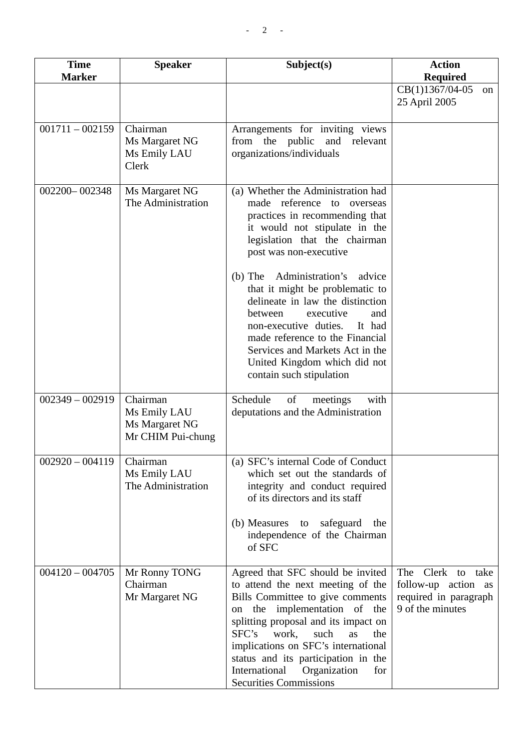| <b>Time</b><br><b>Marker</b> | <b>Speaker</b>                                                  | Subject(s)                                                                                                                                                                                                                                                                                                                                                                       | <b>Action</b><br><b>Required</b>                                                         |
|------------------------------|-----------------------------------------------------------------|----------------------------------------------------------------------------------------------------------------------------------------------------------------------------------------------------------------------------------------------------------------------------------------------------------------------------------------------------------------------------------|------------------------------------------------------------------------------------------|
|                              |                                                                 |                                                                                                                                                                                                                                                                                                                                                                                  | CB(1)1367/04-05<br><sub>on</sub><br>25 April 2005                                        |
| $001711 - 002159$            | Chairman<br>Ms Margaret NG<br>Ms Emily LAU<br>Clerk             | Arrangements for inviting views<br>from the public<br>and relevant<br>organizations/individuals                                                                                                                                                                                                                                                                                  |                                                                                          |
| 002200-002348                | Ms Margaret NG<br>The Administration                            | (a) Whether the Administration had<br>made reference to overseas<br>practices in recommending that<br>it would not stipulate in the<br>legislation that the chairman<br>post was non-executive                                                                                                                                                                                   |                                                                                          |
|                              |                                                                 | Administration's advice<br>$(b)$ The<br>that it might be problematic to<br>delineate in law the distinction<br>executive<br>between<br>and<br>non-executive duties.<br>It had<br>made reference to the Financial<br>Services and Markets Act in the<br>United Kingdom which did not<br>contain such stipulation                                                                  |                                                                                          |
| $002349 - 002919$            | Chairman<br>Ms Emily LAU<br>Ms Margaret NG<br>Mr CHIM Pui-chung | Schedule<br>of<br>with<br>meetings<br>deputations and the Administration                                                                                                                                                                                                                                                                                                         |                                                                                          |
| $002920 - 004119$            | Chairman<br>Ms Emily LAU<br>The Administration                  | (a) SFC's internal Code of Conduct<br>which set out the standards of<br>integrity and conduct required<br>of its directors and its staff<br>(b) Measures to safeguard<br>the<br>independence of the Chairman<br>of SFC                                                                                                                                                           |                                                                                          |
| $004120 - 004705$            | Mr Ronny TONG<br>Chairman<br>Mr Margaret NG                     | Agreed that SFC should be invited<br>to attend the next meeting of the<br>Bills Committee to give comments<br>on the implementation of the<br>splitting proposal and its impact on<br>SFC's<br>work,<br>such<br>as<br>the<br>implications on SFC's international<br>status and its participation in the<br>International<br>Organization<br>for<br><b>Securities Commissions</b> | Clerk to take<br>The<br>follow-up action as<br>required in paragraph<br>9 of the minutes |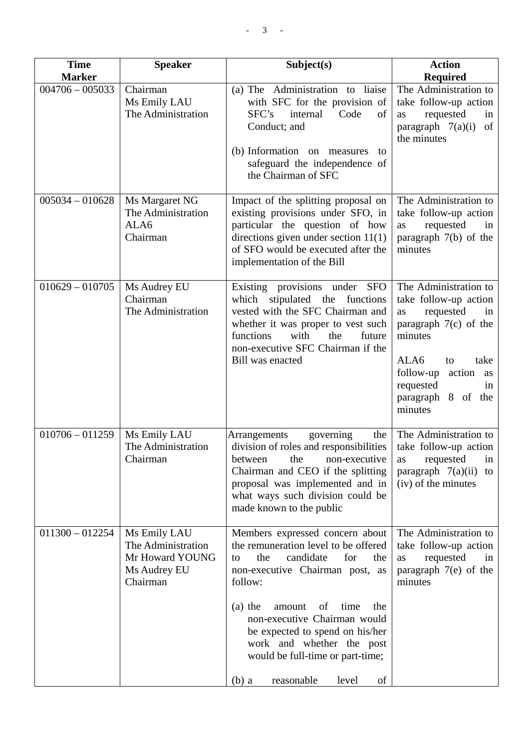| <b>Time</b><br><b>Marker</b> | <b>Speaker</b>                                                                    | Subject(s)                                                                                                                                                                                                                                                                                                                                                                            | <b>Action</b><br><b>Required</b>                                                                                                                                                                                  |
|------------------------------|-----------------------------------------------------------------------------------|---------------------------------------------------------------------------------------------------------------------------------------------------------------------------------------------------------------------------------------------------------------------------------------------------------------------------------------------------------------------------------------|-------------------------------------------------------------------------------------------------------------------------------------------------------------------------------------------------------------------|
| $004706 - 005033$            | Chairman<br>Ms Emily LAU<br>The Administration                                    | (a) The Administration to liaise<br>with SFC for the provision of<br>SFC's<br>internal<br>Code<br>of<br>Conduct; and<br>(b) Information on measures<br>to<br>safeguard the independence of<br>the Chairman of SFC                                                                                                                                                                     | The Administration to<br>take follow-up action<br>requested<br>in<br>as<br>paragraph $7(a)(i)$<br>of<br>the minutes                                                                                               |
| $005034 - 010628$            | Ms Margaret NG<br>The Administration<br>ALA6<br>Chairman                          | Impact of the splitting proposal on<br>existing provisions under SFO, in<br>particular the question of how<br>directions given under section $11(1)$<br>of SFO would be executed after the<br>implementation of the Bill                                                                                                                                                              | The Administration to<br>take follow-up action<br>requested<br>as<br>in<br>paragraph $7(b)$ of the<br>minutes                                                                                                     |
| $010629 - 010705$            | Ms Audrey EU<br>Chairman<br>The Administration                                    | Existing provisions under<br><b>SFO</b><br>stipulated the functions<br>which<br>vested with the SFC Chairman and<br>whether it was proper to vest such<br>functions<br>future<br>with<br>the<br>non-executive SFC Chairman if the<br>Bill was enacted                                                                                                                                 | The Administration to<br>take follow-up action<br>requested<br>as<br>in<br>paragraph $7(c)$ of the<br>minutes<br>ALA6<br>take<br>to<br>follow-up action<br>as<br>requested<br>in<br>paragraph 8 of the<br>minutes |
| $010706 - 011259$            | Ms Emily LAU<br>The Administration<br>Chairman                                    | governing<br>the<br>Arrangements<br>division of roles and responsibilities<br>the<br>between<br>non-executive<br>Chairman and CEO if the splitting<br>proposal was implemented and in<br>what ways such division could be<br>made known to the public                                                                                                                                 | The Administration to<br>take follow-up action<br>requested<br>in<br>as<br>paragraph $7(a)(ii)$<br>to<br>(iv) of the minutes                                                                                      |
| $011300 - 012254$            | Ms Emily LAU<br>The Administration<br>Mr Howard YOUNG<br>Ms Audrey EU<br>Chairman | Members expressed concern about<br>the remuneration level to be offered<br>candidate<br>the<br>for<br>the<br>to<br>non-executive Chairman post, as<br>follow:<br>$(a)$ the<br>of<br>time<br>amount<br>the<br>non-executive Chairman would<br>be expected to spend on his/her<br>work and whether the post<br>would be full-time or part-time;<br>reasonable<br>level<br>of<br>$(b)$ a | The Administration to<br>take follow-up action<br>requested<br>as<br>in<br>paragraph $7(e)$ of the<br>minutes                                                                                                     |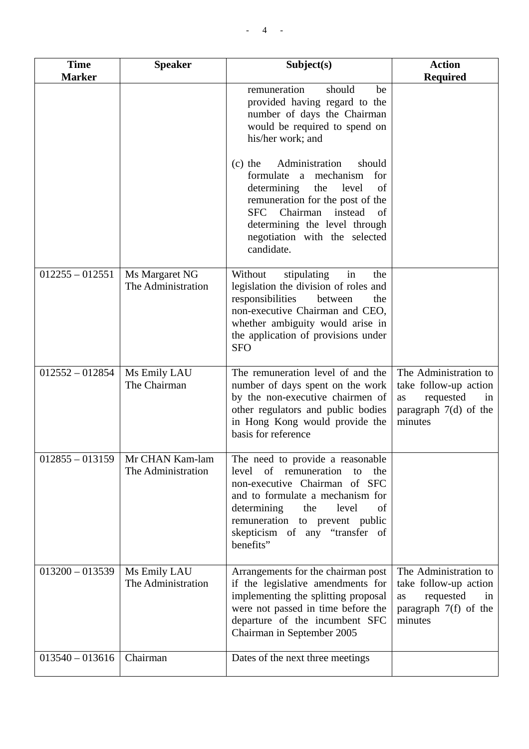| <b>Time</b><br><b>Marker</b> | <b>Speaker</b>                        | Subject(s)                                                                                                                                                                                                                                                                | <b>Action</b><br><b>Required</b>                                                                              |
|------------------------------|---------------------------------------|---------------------------------------------------------------------------------------------------------------------------------------------------------------------------------------------------------------------------------------------------------------------------|---------------------------------------------------------------------------------------------------------------|
|                              |                                       | remuneration<br>should<br>be<br>provided having regard to the<br>number of days the Chairman<br>would be required to spend on<br>his/her work; and                                                                                                                        |                                                                                                               |
|                              |                                       | Administration<br>should<br>$(c)$ the<br>formulate a mechanism<br>for<br>determining<br>the<br>level<br>of<br>remuneration for the post of the<br><b>SFC</b><br>Chairman<br>instead<br>of<br>determining the level through<br>negotiation with the selected<br>candidate. |                                                                                                               |
| $012255 - 012551$            | Ms Margaret NG<br>The Administration  | in<br>Without<br>stipulating<br>the<br>legislation the division of roles and<br>responsibilities<br>between<br>the<br>non-executive Chairman and CEO,<br>whether ambiguity would arise in<br>the application of provisions under<br><b>SFO</b>                            |                                                                                                               |
| $012552 - 012854$            | Ms Emily LAU<br>The Chairman          | The remuneration level of and the<br>number of days spent on the work<br>by the non-executive chairmen of<br>other regulators and public bodies<br>in Hong Kong would provide the<br>basis for reference                                                                  | The Administration to<br>take follow-up action<br>requested<br>as<br>in<br>paragraph $7(d)$ of the<br>minutes |
| $012855 - 013159$            | Mr CHAN Kam-lam<br>The Administration | The need to provide a reasonable<br>of<br>level<br>remuneration<br>the<br>to<br>non-executive Chairman of SFC<br>and to formulate a mechanism for<br>determining<br>the<br>of<br>level<br>remuneration to prevent public<br>skepticism of any "transfer of<br>benefits"   |                                                                                                               |
| $013200 - 013539$            | Ms Emily LAU<br>The Administration    | Arrangements for the chairman post<br>if the legislative amendments for<br>implementing the splitting proposal<br>were not passed in time before the<br>departure of the incumbent SFC<br>Chairman in September 2005                                                      | The Administration to<br>take follow-up action<br>requested<br>as<br>in<br>paragraph $7(f)$ of the<br>minutes |
| $013540 - 013616$            | Chairman                              | Dates of the next three meetings                                                                                                                                                                                                                                          |                                                                                                               |